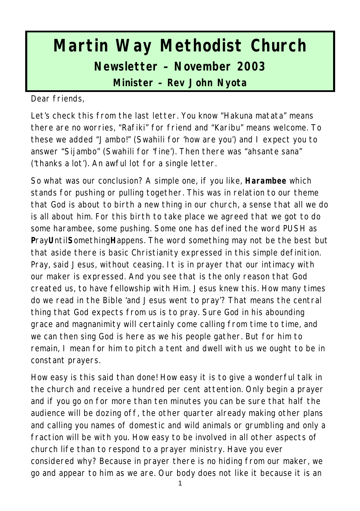# **Martin Way Methodist Church Newsletter – November 2003**

**Minister – Rev John Nyota**

Dear friends,

Let's check this from the last letter. You know "Hakuna matata" means there are no worries, "Rafiki" for friend and "Karibu" means welcome. To these we added "Jambo!" (Swahili for 'how are you') and I expect you to answer "Sijambo" (Swahili for 'fine'). Then there was "ahsante sana" ('thanks a lot'). An awful lot for a single letter.

So what was our conclusion? A simple one, if you like, **Harambee** which stands for pushing or pulling together. This was in relation to our theme that God is about to birth a new thing in our church, a sense that all we do is all about him. For this birth to take place we agreed that we got to do some harambee, some pushing. Some one has defined the word PUSH as **P**ray**U**ntil**S**omething**H**appens. The word something may not be the best but that aside there is basic Christianity expressed in this simple definition. Pray, said Jesus, without ceasing. It is in prayer that our intimacy with our maker is expressed. And you see that is the only reason that God created us, to have fellowship with Him. Jesus knew this. How many times do we read in the Bible 'and Jesus went to pray'? That means the central thing that God expects from us is to pray. Sure God in his abounding grace and magnanimity will certainly come calling from time to time, and we can then sing God is here as we his people gather. But for him to remain, I mean for him to pitch a tent and dwell with us we ought to be in constant prayers.

How easy is this said than done! How easy it is to give a wonderful talk in the church and receive a hundred per cent attention. Only begin a prayer and if you go on for more than ten minutes you can be sure that half the audience will be dozing off, the other quarter already making other plans and calling you names of domestic and wild animals or grumbling and only a fraction will be with you. How easy to be involved in all other aspects of church life than to respond to a prayer ministry. Have you ever considered why? Because in prayer there is no hiding from our maker, we go and appear to him as we are. Our body does not like it because it is an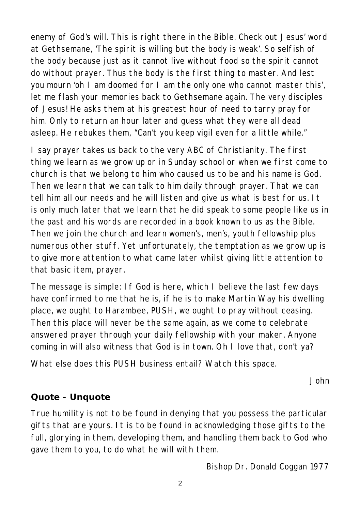enemy of God's will. This is right there in the Bible. Check out Jesus' word at Gethsemane, 'The spirit is willing but the body is weak'. So selfish of the body because just as it cannot live without food so the spirit cannot do without prayer. Thus the body is the first thing to master. And lest you mourn 'oh I am doomed for I am the only one who cannot master this', let me flash your memories back to Gethsemane again. The very disciples of Jesus! He asks them at his greatest hour of need to tarry pray for him. Only to return an hour later and guess what they were all dead asleep. He rebukes them, "Can't you keep vigil even for a little while."

I say prayer takes us back to the very ABC of Christianity. The first thing we learn as we grow up or in Sunday school or when we first come to church is that we belong to him who caused us to be and his name is God. Then we learn that we can talk to him daily through prayer. That we can tell him all our needs and he will listen and give us what is best for us. It is only much later that we learn that he did speak to some people like us in the past and his words are recorded in a book known to us as the Bible. Then we join the church and learn women's, men's, youth fellowship plus numerous other stuff. Yet unfortunately, the temptation as we grow up is to give more attention to what came later whilst giving little attention to that basic item, prayer.

The message is simple: If God is here, which I believe the last few days have confirmed to me that he is, if he is to make Martin Way his dwelling place, we ought to Harambee, PUSH, we ought to pray without ceasing. Then this place will never be the same again, as we come to celebrate answered prayer through your daily fellowship with your maker. Anyone coming in will also witness that God is in town. Oh I love that, don't ya?

What else does this PUSH business entail? Watch this space.

*John*

#### **Quote - Unquote**

True humility is not to be found in denying that you possess the particular gifts that are yours. It is to be found in acknowledging those gifts to the full, glorying in them, developing them, and handling them back to God who gave them to you, to do what he will with them.

*Bishop Dr. Donald Coggan 1977*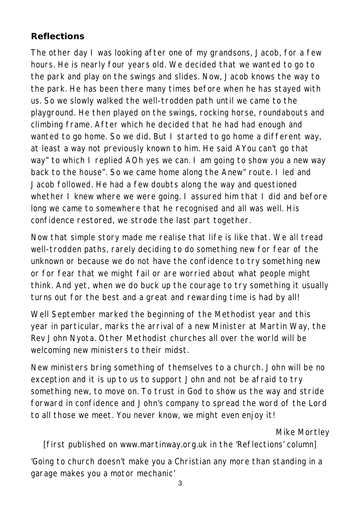#### **Reflections**

The other day I was looking after one of my grandsons, Jacob, for a few hours. He is nearly four years old. We decided that we wanted to go to the park and play on the swings and slides. Now, Jacob knows the way to the park. He has been there many times before when he has stayed with us. So we slowly walked the well-trodden path until we came to the playground. He then played on the swings, rocking horse, roundabouts and climbing frame. After which he decided that he had had enough and wanted to go home. So we did. But I started to go home a different way, at least a way not previously known to him. He said AYou can't go that way" to which I replied AOh yes we can. I am going to show you a new way back to the house". So we came home along the Anew" route. I led and Jacob followed. He had a few doubts along the way and questioned whether I knew where we were going. I assured him that I did and before long we came to somewhere that he recognised and all was well. His confidence restored, we strode the last part together.

Now that simple story made me realise that life is like that. We all tread well-trodden paths, rarely deciding to do something new for fear of the unknown or because we do not have the confidence to try something new or for fear that we might fail or are worried about what people might think. And yet, when we do buck up the courage to try something it usually turns out for the best and a great and rewarding time is had by all!

Well September marked the beginning of the Methodist year and this year in particular, marks the arrival of a new Minister at Martin Way, the Rev John Nyota. Other Methodist churches all over the world will be welcoming new ministers to their midst.

New ministers bring something of themselves to a church. John will be no exception and it is up to us to support John and not be afraid to try something new, to move on. To trust in God to show us the way and stride forward in confidence and John's company to spread the word of the Lord to all those we meet. You never know, we might even enjoy it!

#### *Mike Mortley*

[first published on www.martinway.org.uk in the 'Reflections' column]

'Going to church doesn't make you a Christian any more than standing in a garage makes you a motor mechanic'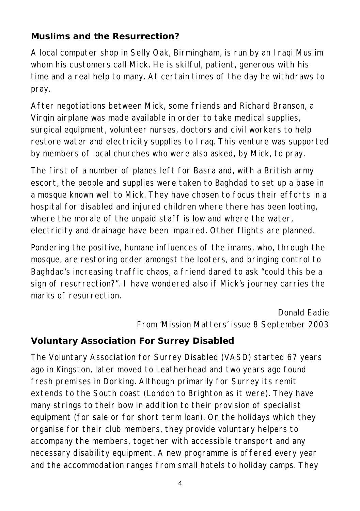#### **Muslims and the Resurrection?**

A local computer shop in Selly Oak, Birmingham, is run by an Iraqi Muslim whom his customers call Mick. He is skilful, patient, generous with his time and a real help to many. At certain times of the day he withdraws to pray.

After negotiations between Mick, some friends and Richard Branson, a Virgin airplane was made available in order to take medical supplies, surgical equipment, volunteer nurses, doctors and civil workers to help restore water and electricity supplies to Iraq. This venture was supported by members of local churches who were also asked, by Mick, to pray.

The first of a number of planes left for Basra and, with a British army escort, the people and supplies were taken to Baghdad to set up a base in a mosque known well to Mick. They have chosen to focus their efforts in a hospital for disabled and injured children where there has been looting, where the morale of the unpaid staff is low and where the water, electricity and drainage have been impaired. Other flights are planned.

Pondering the positive, humane influences of the imams, who, through the mosque, are restoring order amongst the looters, and bringing control to Baghdad's increasing traffic chaos, a friend dared to ask "could this be a sign of resurrection?". I have wondered also if Mick's journey carries the marks of resurrection.

#### *Donald Eadie From 'Mission Matters' issue 8 September 2003*

### **Voluntary Association For Surrey Disabled**

The Voluntary Association for Surrey Disabled (VASD) started 67 years ago in Kingston, later moved to Leatherhead and two years ago found fresh premises in Dorking. Although primarily for Surrey its remit extends to the South coast (London to Brighton as it were). They have many strings to their bow in addition to their provision of specialist equipment (for sale or for short term loan). On the holidays which they organise for their club members, they provide voluntary helpers to accompany the members, together with accessible transport and any necessary disability equipment. A new programme is offered every year and the accommodation ranges from small hotels to holiday camps. They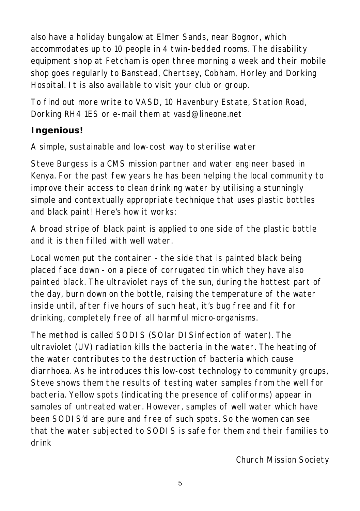also have a holiday bungalow at Elmer Sands, near Bognor, which accommodates up to 10 people in 4 twin-bedded rooms. The disability equipment shop at Fetcham is open three morning a week and their mobile shop goes regularly to Banstead, Chertsey, Cobham, Horley and Dorking Hospital. It is also available to visit your club or group.

To find out more write to VASD, 10 Havenbury Estate, Station Road, Dorking RH4 1ES or e-mail them at vasd@lineone.net

# **Ingenious!**

A simple, sustainable and low-cost way to sterilise water

Steve Burgess is a CMS mission partner and water engineer based in Kenya. For the past few years he has been helping the local community to improve their access to clean drinking water by utilising a stunningly simple and contextually appropriate technique that uses plastic bottles and black paint! Here's how it works:

A broad stripe of black paint is applied to one side of the plastic bottle and it is then filled with well water.

Local women put the container - the side that is painted black being placed face down - on a piece of corrugated tin which they have also painted black. The ultraviolet rays of the sun, during the hottest part of the day, burn down on the bottle, raising the temperature of the water inside until, after five hours of such heat, it's bug free and fit for drinking, completely free of all harmful micro-organisms.

The method is called SODIS (SOlar DISinfection of water). The ultraviolet (UV) radiation kills the bacteria in the water. The heating of the water contributes to the destruction of bacteria which cause diarrhoea. As he introduces this low-cost technology to community groups, Steve shows them the results of testing water samples from the well for bacteria. Yellow spots (indicating the presence of coliforms) appear in samples of untreated water. However, samples of well water which have been SODIS'd are pure and free of such spots. So the women can see that the water subjected to SODIS is safe for them and their families to drink

*Church Mission Society*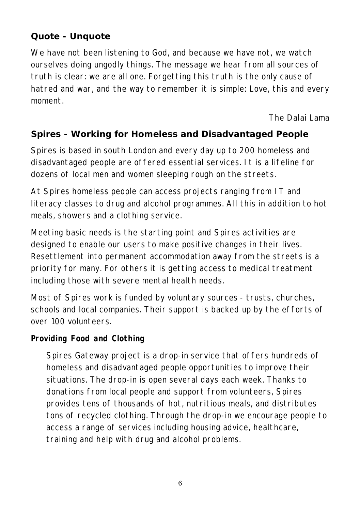#### **Quote - Unquote**

We have not been listening to God, and because we have not, we watch ourselves doing ungodly things. The message we hear from all sources of truth is clear: we are all one. Forgetting this truth is the only cause of hatred and war, and the way to remember it is simple: Love, this and every moment.

#### *The Dalai Lama*

#### **Spires - Working for Homeless and Disadvantaged People**

Spires is based in south London and every day up to 200 homeless and disadvantaged people are offered essential services. It is a lifeline for dozens of local men and women sleeping rough on the streets.

At Spires homeless people can access projects ranging from IT and literacy classes to drug and alcohol programmes. All this in addition to hot meals, showers and a clothing service.

Meeting basic needs is the starting point and Spires activities are designed to enable our users to make positive changes in their lives. Resettlement into permanent accommodation away from the streets is a priority for many. For others it is getting access to medical treatment including those with severe mental health needs.

Most of Spires work is funded by voluntary sources - trusts, churches, schools and local companies. Their support is backed up by the efforts of over 100 volunteers.

#### **Providing Food and Clothing**

Spires Gateway project is a drop-in service that offers hundreds of homeless and disadvantaged people opportunities to improve their situations. The drop-in is open several days each week. Thanks to donations from local people and support from volunteers, Spires provides tens of thousands of hot, nutritious meals, and distributes tons of recycled clothing. Through the drop-in we encourage people to access a range of services including housing advice, healthcare, training and help with drug and alcohol problems.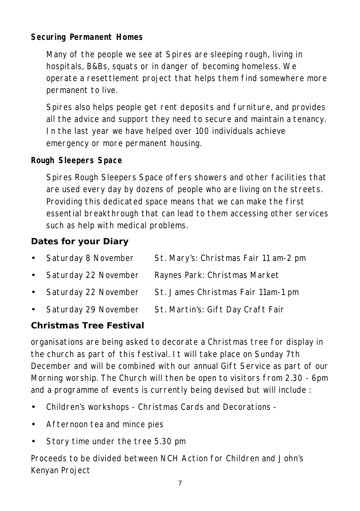#### **Securing Permanent Homes**

Many of the people we see at Spires are sleeping rough, living in hospitals, B&Bs, squats or in danger of becoming homeless. We operate a resettlement project that helps them find somewhere more permanent to live.

Spires also helps people get rent deposits and furniture, and provides all the advice and support they need to secure and maintain a tenancy. In the last year we have helped over 100 individuals achieve emergency or more permanent housing.

#### **Rough Sleepers Space**

Spires Rough Sleepers Space offers showers and other facilities that are used every day by dozens of people who are living on the streets. Providing this dedicated space means that we can make the first essential breakthrough that can lead to them accessing other services such as help with medical problems.

#### **Dates for your Diary**

| • Saturday 8 November  | St. Mary's: Christmas Fair 11 am-2 pm |
|------------------------|---------------------------------------|
| • Saturday 22 November | Raynes Park: Christmas Market         |
| • Saturday 22 November | St. James Christmas Fair 11am-1 pm    |
| • Saturday 29 November | St. Martin's: Gift Day Craft Fair     |

#### **Christmas Tree Festival**

organisations are being asked to decorate a Christmas tree for display in the church as part of this festival. It will take place on Sunday 7th December and will be combined with our annual Gift Service as part of our Morning worship. The Church will then be open to visitors from 2.30 - 6pm and a programme of events is currently being devised but will include :

- Children's workshops Christmas Cards and Decorations -
- Afternoon tea and mince pies
- Story time under the tree 5.30 pm

Proceeds to be divided between NCH Action for Children and John's Kenyan Project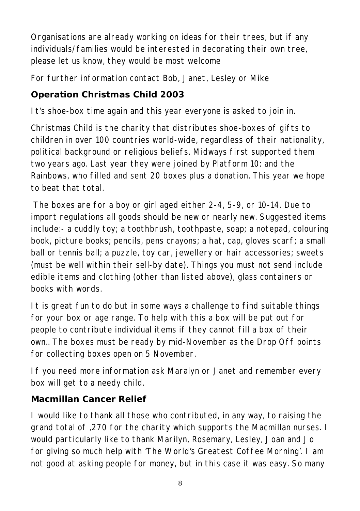Organisations are already working on ideas for their trees, but if any individuals/families would be interested in decorating their own tree, please let us know, they would be most welcome

For further information contact Bob, Janet, Lesley or Mike

# **Operation Christmas Child 2003**

It's shoe-box time again and this year everyone is asked to join in.

Christmas Child is the charity that distributes shoe-boxes of gifts to children in over 100 countries world-wide, regardless of their nationality, political background or religious beliefs. Midways first supported them two years ago. Last year they were joined by Platform 10: and the Rainbows, who filled and sent 20 boxes plus a donation. This year we hope to beat that total.

 The boxes are for a boy or girl aged either 2-4, 5-9, or 10-14. Due to import regulations all goods should be new or nearly new. Suggested items include:- a cuddly toy; a toothbrush, toothpaste, soap; a notepad, colouring book, picture books; pencils, pens crayons; a hat, cap, gloves scarf; a small ball or tennis ball; a puzzle, toy car, jewellery or hair accessories; sweets (must be well within their sell-by date). Things you must not send include edible items and clothing (other than listed above), glass containers or books with words.

It is great fun to do but in some ways a challenge to find suitable things for your box or age range. To help with this a box will be put out for people to contribute individual items if they cannot fill a box of their own.. The boxes must be ready by mid-November as the Drop Off points for collecting boxes open on 5 November.

If you need more information ask Maralyn or Janet and remember every box will get to a needy child.

# **Macmillan Cancer Relief**

I would like to thank all those who contributed, in any way, to raising the grand total of ,270 for the charity which supports the Macmillan nurses. I would particularly like to thank Marilyn, Rosemary, Lesley, Joan and Jo for giving so much help with 'The World's Greatest Coffee Morning'. I am not good at asking people for money, but in this case it was easy. So many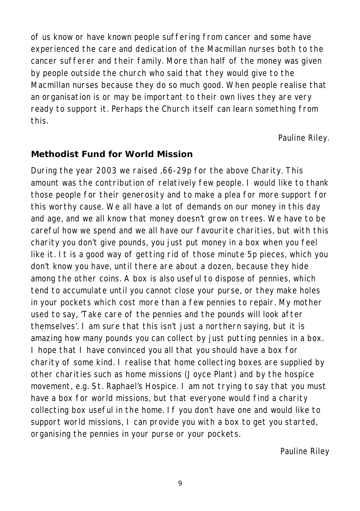of us know or have known people suffering from cancer and some have experienced the care and dedication of the Macmillan nurses both to the cancer sufferer and their family. More than half of the money was given by people outside the church who said that they would give to the Macmillan nurses because they do so much good. When people realise that an organisation is or may be important to their own lives they are very ready to support it. Perhaps the Church itself can learn something from this.

*Pauline Riley.*

#### **Methodist Fund for World Mission**

During the year 2003 we raised ,66-29p for the above Charity. This amount was the contribution of relatively few people. I would like to thank those people for their generosity and to make a plea for more support for this worthy cause. We all have a lot of demands on our money in this day and age, and we all know that money doesn't grow on trees. We have to be careful how we spend and we all have our favourite charities, but with this charity you don't give pounds, you just put money in a box when you feel like it. It is a good way of getting rid of those minute 5p pieces, which you don't know you have, until there are about a dozen, because they hide among the other coins. A box is also useful to dispose of pennies, which tend to accumulate until you cannot close your purse, or they make holes in your pockets which cost more than a few pennies to repair. My mother used to say, 'Take care of the pennies and the pounds will look after themselves'. I am sure that this isn't just a northern saying, but it is amazing how many pounds you can collect by just putting pennies in a box. I hope that I have convinced you all that you should have a box for charity of some kind. I realise that home collecting boxes are supplied by other charities such as home missions (Joyce Plant) and by the hospice movement, e.g. St. Raphael's Hospice. I am not trying to say that you must have a box for world missions, but that everyone would find a charity collecting box useful in the home. If you don't have one and would like to support world missions, I can provide you with a box to get you started, organising the pennies in your purse or your pockets.

*Pauline Riley*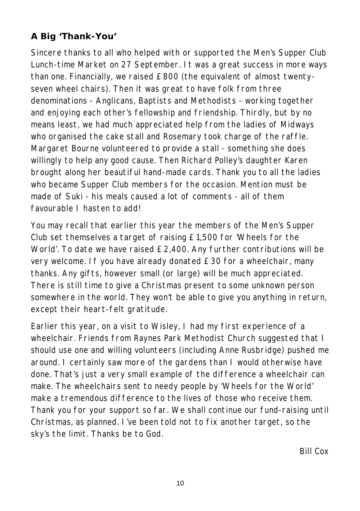#### **A Big 'Thank-You'**

Sincere thanks to all who helped with or supported the Men's Supper Club Lunch-time Market on 27 September. It was a great success in more ways than one. Financially, we raised £800 (the equivalent of almost twentyseven wheel chairs). Then it was great to have folk from three denominations - Anglicans, Baptists and Methodists - working together and enjoying each other's fellowship and friendship. Thirdly, but by no means least, we had much appreciated help from the ladies of Midways who organised the cake stall and Rosemary took charge of the raffle. Margaret Bourne volunteered to provide a stall - something she does willingly to help any good cause. Then Richard Polley's daughter Karen brought along her beautiful hand-made cards. Thank you to all the ladies who became Supper Club members for the occasion. Mention must be made of Suki - his meals caused a lot of comments - all of them favourable I hasten to add!

You may recall that earlier this year the members of the Men's Supper Club set themselves a target of raising £1,500 for 'Wheels for the World'. To date we have raised £2,400. Any further contributions will be very welcome. If you have already donated £30 for a wheelchair, many thanks. Any gifts, however small (or large) will be much appreciated. There is still time to give a Christmas present to some unknown person somewhere in the world. They won't be able to give you anything in return, except their heart-felt gratitude.

Earlier this year, on a visit to Wisley, I had my first experience of a wheelchair. Friends from Raynes Park Methodist Church suggested that I should use one and willing volunteers (including Anne Rusbridge) pushed me around. I certainly saw more of the gardens than I would otherwise have done. That's just a very small example of the difference a wheelchair can make. The wheelchairs sent to needy people by 'Wheels for the World' make a tremendous difference to the lives of those who receive them. Thank you for your support so far. We shall continue our fund-raising until Christmas, as planned. I've been told not to fix another target, so the sky's the limit. Thanks be to God.

*Bill Cox*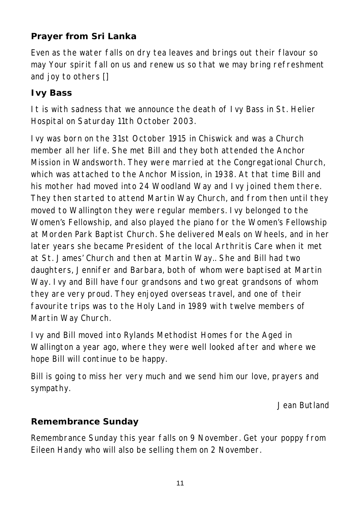# **Prayer from Sri Lanka**

Even as the water falls on dry tea leaves and brings out their flavour so may Your spirit fall on us and renew us so that we may bring refreshment and joy to others []

#### **Ivy Bass**

It is with sadness that we announce the death of Ivy Bass in St. Helier Hospital on Saturday 11th October 2003.

Ivy was born on the 31st October 1915 in Chiswick and was a Church member all her life. She met Bill and they both attended the Anchor Mission in Wandsworth. They were married at the Congregational Church, which was attached to the Anchor Mission, in 1938. At that time Bill and his mother had moved into 24 Woodland Way and Ivy joined them there. They then started to attend Martin Way Church, and from then until they moved to Wallington they were regular members. Ivy belonged to the Women's Fellowship, and also played the piano for the Women's Fellowship at Morden Park Baptist Church. She delivered Meals on Wheels, and in her later years she became President of the local Arthritis Care when it met at St. James' Church and then at Martin Way.. She and Bill had two daughters, Jennifer and Barbara, both of whom were baptised at Martin Way. Ivy and Bill have four grandsons and two great grandsons of whom they are very proud. They enjoyed overseas travel, and one of their favourite trips was to the Holy Land in 1989 with twelve members of Martin Way Church.

Ivy and Bill moved into Rylands Methodist Homes for the Aged in Wallington a year ago, where they were well looked after and where we hope Bill will continue to be happy.

Bill is going to miss her very much and we send him our love, prayers and sympathy.

*Jean Butland*

#### **Remembrance Sunday**

Remembrance Sunday this year falls on 9 November. Get your poppy from Eileen Handy who will also be selling them on 2 November.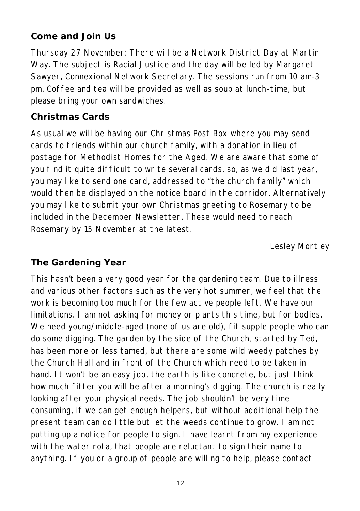#### **Come and Join Us**

Thursday 27 November: There will be a Network District Day at Martin Way. The subject is Racial Justice and the day will be led by Margaret Sawyer, Connexional Network Secretary. The sessions run from 10 am-3 pm. Coffee and tea will be provided as well as soup at lunch-time, but please bring your own sandwiches.

#### **Christmas Cards**

As usual we will be having our Christmas Post Box where you may send cards to friends within our church family, with a donation in lieu of postage for Methodist Homes for the Aged. We are aware that some of you find it quite difficult to write several cards, so, as we did last year, you may like to send one card, addressed to "the church family" which would then be displayed on the notice board in the corridor. Alternatively you may like to submit your own Christmas greeting to Rosemary to be included in the December Newsletter. These would need to reach Rosemary by 15 November at the latest.

*Lesley Mortley*

#### **The Gardening Year**

This hasn't been a very good year for the gardening team. Due to illness and various other factors such as the very hot summer, we feel that the work is becoming too much for the few active people left. We have our limitations. I am not asking for money or plants this time, but for bodies. We need young/middle-aged (none of us are old), fit supple people who can do some digging. The garden by the side of the Church, started by Ted, has been more or less tamed, but there are some wild weedy patches by the Church Hall and in front of the Church which need to be taken in hand. It won't be an easy job, the earth is like concrete, but just think how much fitter you will be after a morning's digging. The church is really looking after your physical needs. The job shouldn't be very time consuming, if we can get enough helpers, but without additional help the present team can do little but let the weeds continue to grow. I am not putting up a notice for people to sign. I have learnt from my experience with the water rota, that people are reluctant to sign their name to anything. If you or a group of people are willing to help, please contact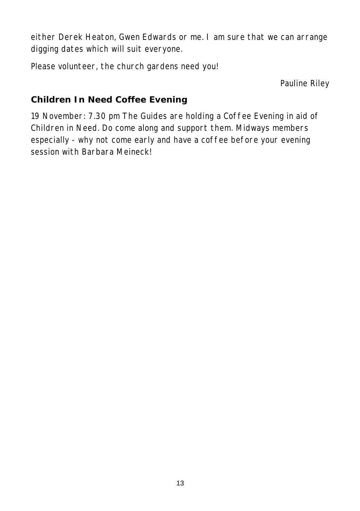either Derek Heaton, Gwen Edwards or me. I am sure that we can arrange digging dates which will suit everyone.

Please volunteer, the church gardens need you!

*Pauline Riley*

#### **Children In Need Coffee Evening**

19 November: 7.30 pm The Guides are holding a Coffee Evening in aid of Children in Need. Do come along and support them. Midways members especially - why not come early and have a coffee before your evening session with Barbara Meineck!